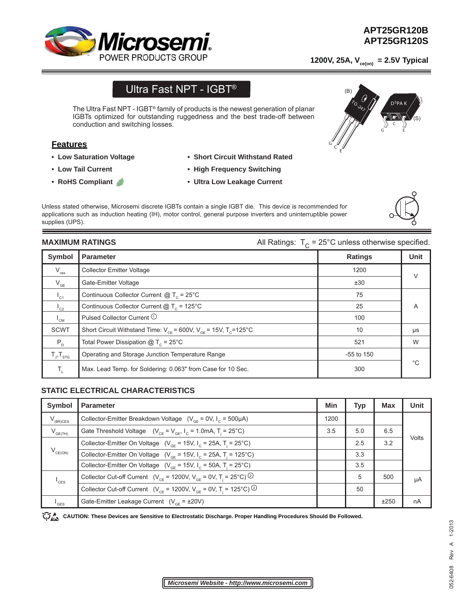

D<sup>3</sup>PA K

(S)

G C E

1200V, 25A, V<sub>ce(on)</sub> = 2.5V Typical

TO-247

(B)

# Ultra Fast NPT - IGBT®

The Ultra Fast NPT - IGBT® family of products is the newest generation of planar IGBTs optimized for outstanding ruggedness and the best trade-off between conduction and switching losses.

# **Features**

- **Low Saturation Voltage**
- **Low Tail Current**
- **RoHS Compliant**
- **Short Circuit Withstand Rated**
- **High Frequency Switching**
- **Ultra Low Leakage Current**

Unless stated otherwise, Microsemi discrete IGBTs contain a single IGBT die. This device is recommended for applications such as induction heating (IH), motor control, general purpose inverters and uninterruptible power supplies (UPS).

**MAXIMUM RATINGS MAXIMUM RATINGS All Ratings:**  $T_c = 25^\circ \text{C}$  unless otherwise specified.

 $\int_{\epsilon}^{\epsilon}$ 

| Symbol                     | <b>Parameter</b>                                                              | <b>Ratings</b> | <b>Unit</b> |
|----------------------------|-------------------------------------------------------------------------------|----------------|-------------|
| $\mathsf{V}_{\text{ces}}$  | <b>Collector Emitter Voltage</b>                                              | 1200           | $\vee$      |
| $V_{GE}$                   | Gate-Emitter Voltage                                                          | ±30            |             |
| $I_{C1}$                   | Continuous Collector Current $@T_c = 25°C$                                    | 75             |             |
| $I_{c2}$                   | Continuous Collector Current $@T_c = 125°C$                                   | 25             | A           |
| $\mathsf{I}_{\mathsf{CM}}$ | Pulsed Collector Current $\odot$                                              | 100            |             |
| <b>SCWT</b>                | Short Circuit Withstand Time: $V_{CF}$ = 600V, $V_{GF}$ = 15V, $T_{C}$ =125°C | 10             | μs          |
| $P_{n}$                    | Total Power Dissipation $@T_c = 25^{\circ}C$                                  | 521            | W           |
| $T_{J}$ , $T_{STG}$        | Operating and Storage Junction Temperature Range                              | $-55$ to 150   |             |
| $T_{\rm r}$                | Max. Lead Temp. for Soldering: 0.063" from Case for 10 Sec.                   | 300            | °€          |

# **STATIC ELECTRICAL CHARACTERISTICS**

| Symbol                      | <b>Parameter</b>                                                                                                | Min  | Typ | Max  | Unit  |
|-----------------------------|-----------------------------------------------------------------------------------------------------------------|------|-----|------|-------|
| $V_{(BR)CES}$               | Collector-Emitter Breakdown Voltage $(V_{CF} = 0V, I_C = 500 \mu A)$                                            | 1200 |     |      |       |
| $V_{GE(TH)}$                | Gate Threshold Voltage $(V_{CF} = V_{GF}, I_C = 1.0 \text{mA}, T = 25^{\circ}\text{C})$                         | 3.5  | 5.0 | 6.5  | Volts |
| $V_{CE(ON)}$                | Collector-Emitter On Voltage ( $V_{\text{CF}}$ = 15V, $I_{\text{C}}$ = 25A, T <sub>i</sub> = 25 <sup>°</sup> C) |      | 2.5 | 3.2  |       |
|                             | Collector-Emitter On Voltage ( $V_{GF}$ = 15V, I <sub>c</sub> = 25A, T <sub>i</sub> = 125°C)                    |      | 3.3 |      |       |
|                             | Collector-Emitter On Voltage ( $V_{GF}$ = 15V, I <sub>c</sub> = 50A, T <sub>i</sub> = 25°C)                     |      | 3.5 |      |       |
| $I_{\text{CES}}$            | Collector Cut-off Current ( $V_{CF}$ = 1200V, $V_{CF}$ = 0V, T <sub>i</sub> = 25°C) <sup>②</sup>                |      | 5   | 500  | μA    |
|                             | Collector Cut-off Current ( $V_{CF}$ = 1200V, $V_{GF}$ = 0V, T <sub>i</sub> = 125°C) <sup>②</sup>               |      | 50  |      |       |
| $\mathsf{I}_{\mathsf{GES}}$ | Gate-Emitter Leakage Current $(V_{CF} = \pm 20V)$                                                               |      |     | ±250 | nA    |

CAUTION: These Devices are Sensitive to Electrostatic Discharge. Proper Handling Procedures Should Be Followed.

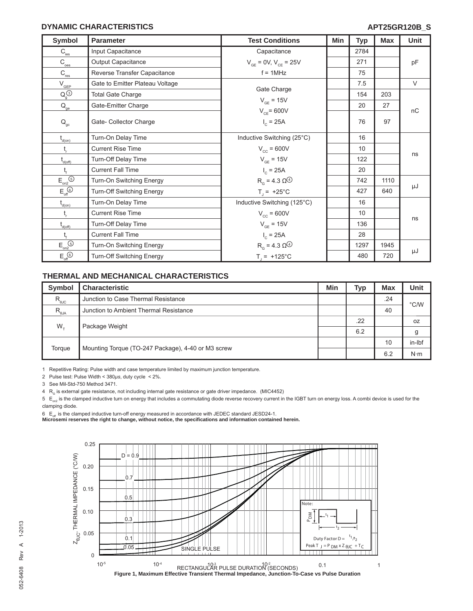#### **DYNAMIC CHARACTERISTICS**

| <b>Symbol</b>                                                | <b>Parameter</b>                | <b>Test Conditions</b>                               | Min | <b>Typ</b> | <b>Max</b> | <b>Unit</b> |
|--------------------------------------------------------------|---------------------------------|------------------------------------------------------|-----|------------|------------|-------------|
| $\mathsf{C}_{\textsf{\tiny \textsf{ies}}}$                   | Input Capacitance               | Capacitance                                          |     | 2784       |            |             |
| $\rm C_{\underline{oes}}$                                    | Output Capacitance              | $V_{GE}$ = 0V, $V_{CE}$ = 25V                        |     | 271        |            | pF          |
| $C_{res}$                                                    | Reverse Transfer Capacitance    | $f = 1$ MHz                                          |     | 75         |            |             |
| $V_{\text{GEP}}$                                             | Gate to Emitter Plateau Voltage |                                                      |     | 7.5        |            | $\vee$      |
| $Q_q^{(3)}$                                                  | <b>Total Gate Charge</b>        | Gate Charge                                          |     | 154        | 203        |             |
| $\mathsf{Q}_\mathrm{ge}$                                     | Gate-Emitter Charge             | $V_{GE}$ = 15V                                       |     | 20         | 27         |             |
| $\mathsf{Q}_{\mathrm{gc}}$                                   | Gate- Collector Charge          | $V_{CE}$ = 600V<br>$I_c = 25A$                       |     | 76         | 97         | nC          |
| $t_{d(0n)}$                                                  | Turn-On Delay Time              | Inductive Switching (25°C)                           |     | 16         |            |             |
| $\mathsf{t}_{\sf r}$                                         | <b>Current Rise Time</b>        | $V_{cc}$ = 600V                                      |     | 10         |            |             |
| $t_{d(off)}$                                                 | Turn-Off Delay Time             | $V_{GE}$ = 15V                                       |     | 122        |            | ns          |
| $t_{\rm f}$                                                  | <b>Current Fall Time</b>        | $I_c = 25A$                                          |     | 20         |            |             |
| $E_{on2}$ <sup> <sub> sm2</sub></sup>                        | Turn-On Switching Energy        | $R_{\alpha}$ = 4.3 $\Omega^{\textcircled{\bigcirc}}$ |     | 742        | 1110       |             |
| $E_{\text{off}}$                                             | Turn-Off Switching Energy       | $T_1 = +25^{\circ}C$                                 |     | 427        | 640        | μJ          |
| $\mathfrak{t}_{\scriptscriptstyle{\mathsf{d}(\mathsf{on})}}$ | Turn-On Delay Time              | Inductive Switching (125°C)                          |     | 16         |            |             |
| $t_{\rm r}$                                                  | <b>Current Rise Time</b>        | $V_{cc}$ = 600V                                      |     | 10         |            |             |
| $t_{\text{d(off)}}$                                          | Turn-Off Delay Time             | $V_{GF} = 15V$                                       |     | 136        |            | ns          |
| $t_{\rm f}$                                                  | <b>Current Fall Time</b>        | $I_c = 25A$                                          |     | 28         |            |             |
| $E_{on2}$ <sup><math>\odot</math></sup>                      | Turn-On Switching Energy        | $RG$ = 4.3 $\Omega$ <sup><sup>(4)</sup></sup>        |     | 1297       | 1945       |             |
| $E_{\text{off}}$                                             | Turn-Off Switching Energy       | $T_1 = +125^{\circ}C$                                |     | 480        | 720        | μJ          |

# **THERMAL AND MECHANICAL CHARACTERISTICS**

| <b>Symbol</b>    | <b>Characteristic</b>                              | Min | Typ | <b>Max</b> | Unit          |
|------------------|----------------------------------------------------|-----|-----|------------|---------------|
| $R_{\text{euc}}$ | Junction to Case Thermal Resistance                |     |     | .24        | $\degree$ C/W |
| $R_{\theta$ JA   | Junction to Ambient Thermal Resistance             |     |     | 40         |               |
| $W_{\tau}$       | Package Weight                                     |     | .22 |            | 0Z            |
|                  |                                                    |     | 6.2 |            | g             |
| Torque           | Mounting Torque (TO-247 Package), 4-40 or M3 screw |     |     | 10         | in-Ibf        |
|                  |                                                    |     |     | 6.2        | $N \cdot m$   |

1 Repetitive Rating: Pulse width and case temperature limited by maximum junction temperature.

2 Pulse test: Pulse Width < 380*μs*, duty cycle < 2%.

3 See Mil-Std-750 Method 3471.

 $4$  R<sub>G</sub> is external gate resistance, not including internal gate resistance or gate driver impedance. (MIC4452)

 $5 E_{\text{no}}$  is the clamped inductive turn on energy that includes a commutating diode reverse recovery current in the IGBT turn on energy loss. A combi device is used for the clamping diode.

 $6 E_{\text{off}}$  is the clamped inductive turn-off energy measured in accordance with JEDEC standard JESD24-1.

**Microsemi reserves the right to change, without notice, the specifi cations and information contained herein.**

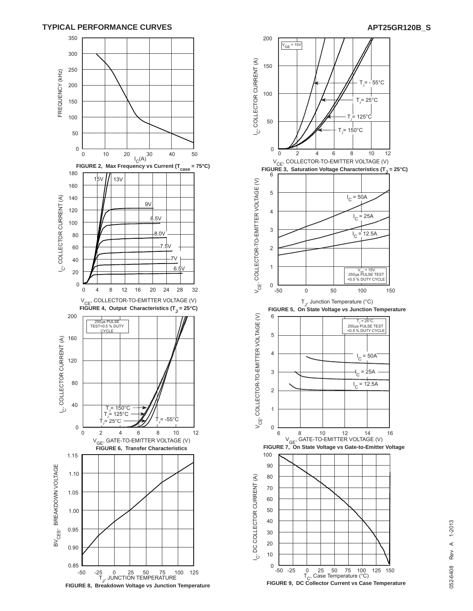### **TYPICAL PERFORMANCE CURVES APT25GR120B\_S**





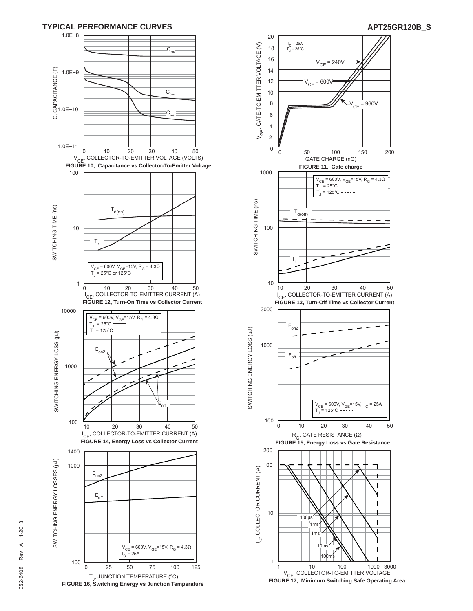





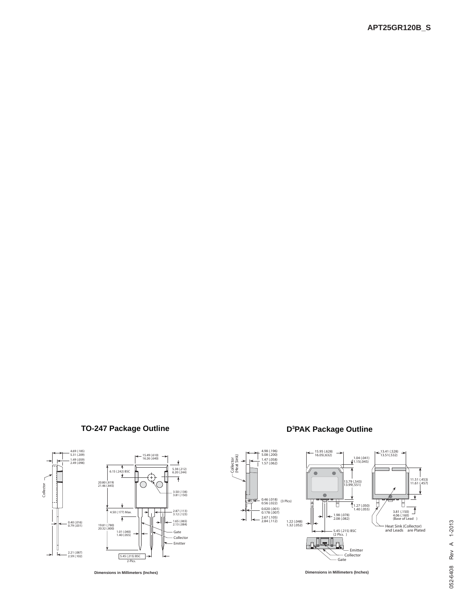# **TO-247 Package Outline**





Collector<br>(Heat Sink) (Heat Sink)

唐

↘



**Dimensions in Millimeters (Inches) Dimensions in Millimeters (Inches)**